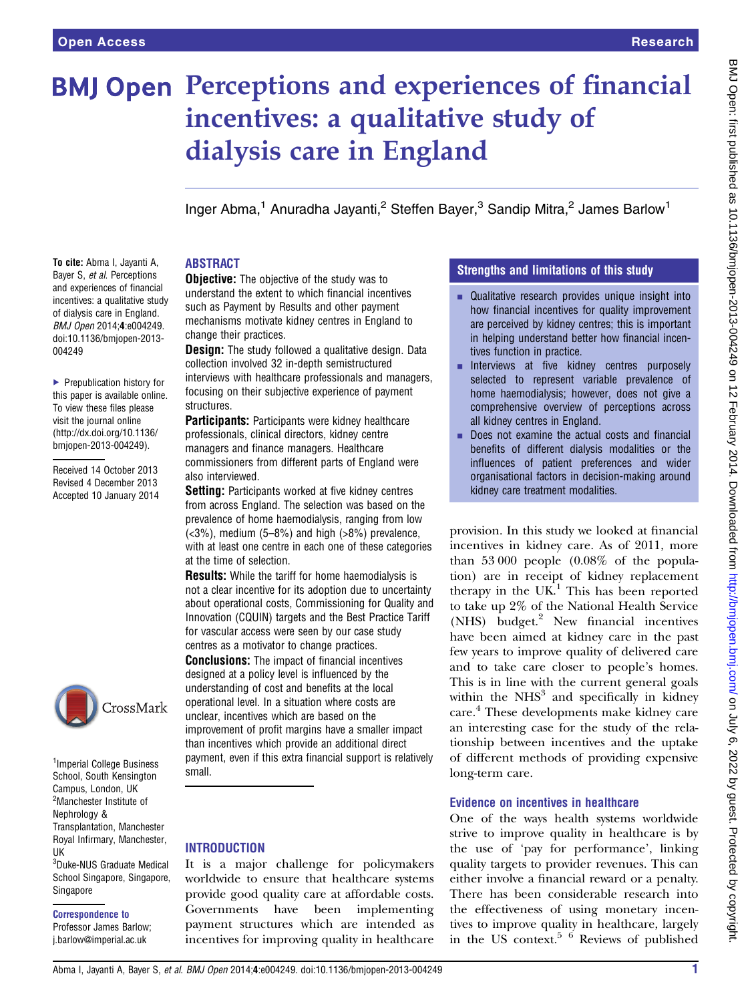# **BMJ Open Perceptions and experiences of financial** incentives: a qualitative study of dialysis care in England

Inger Abma,<sup>1</sup> Anuradha Jayanti,<sup>2</sup> Steffen Bayer,<sup>3</sup> Sandip Mitra,<sup>2</sup> James Barlow<sup>1</sup>

# ABSTRACT

To cite: Abma I, Jayanti A, Bayer S, et al. Perceptions and experiences of financial incentives: a qualitative study of dialysis care in England. BMJ Open 2014;4:e004249. doi:10.1136/bmjopen-2013- 004249

▶ Prepublication history for this paper is available online. To view these files please visit the journal online [\(http://dx.doi.org/10.1136/](http://dx.doi.org/10.1136/bmjopen-2013-004249) [bmjopen-2013-004249](http://dx.doi.org/10.1136/bmjopen-2013-004249)).

Received 14 October 2013 Revised 4 December 2013 Accepted 10 January 2014



<sup>1</sup> Imperial College Business School, South Kensington Campus, London, UK <sup>2</sup>Manchester Institute of Nephrology & Transplantation, Manchester Royal Infirmary, Manchester, UK 3 Duke-NUS Graduate Medical

School Singapore, Singapore, Singapore

#### Correspondence to

Professor James Barlow; j.barlow@imperial.ac.uk

**Objective:** The objective of the study was to understand the extent to which financial incentives such as Payment by Results and other payment mechanisms motivate kidney centres in England to change their practices.

**Design:** The study followed a qualitative design. Data collection involved 32 in-depth semistructured interviews with healthcare professionals and managers, focusing on their subjective experience of payment structures.

**Participants:** Participants were kidney healthcare professionals, clinical directors, kidney centre managers and finance managers. Healthcare commissioners from different parts of England were also interviewed.

**Setting:** Participants worked at five kidney centres from across England. The selection was based on the prevalence of home haemodialysis, ranging from low  $( $3\%$ )$ , medium  $(5-8\%)$  and high  $(>8\%)$  prevalence, with at least one centre in each one of these categories at the time of selection.

Results: While the tariff for home haemodialysis is not a clear incentive for its adoption due to uncertainty about operational costs, Commissioning for Quality and Innovation (CQUIN) targets and the Best Practice Tariff for vascular access were seen by our case study centres as a motivator to change practices.

Conclusions: The impact of financial incentives designed at a policy level is influenced by the understanding of cost and benefits at the local operational level. In a situation where costs are unclear, incentives which are based on the improvement of profit margins have a smaller impact than incentives which provide an additional direct payment, even if this extra financial support is relatively small.

# **INTRODUCTION**

It is a major challenge for policymakers worldwide to ensure that healthcare systems provide good quality care at affordable costs. Governments have been implementing payment structures which are intended as incentives for improving quality in healthcare

# Strengths and limitations of this study

- Qualitative research provides unique insight into how financial incentives for quality improvement are perceived by kidney centres; this is important in helping understand better how financial incentives function in practice.
- **EXECUTE:** Interviews at five kidney centres purposely selected to represent variable prevalence of home haemodialysis; however, does not give a comprehensive overview of perceptions across all kidney centres in England.
- Does not examine the actual costs and financial benefits of different dialysis modalities or the influences of patient preferences and wider organisational factors in decision-making around kidney care treatment modalities.

provision. In this study we looked at financial incentives in kidney care. As of 2011, more than 53 000 people (0.08% of the population) are in receipt of kidney replacement therapy in the  $UK<sup>1</sup>$ . This has been reported to take up 2% of the National Health Service (NHS) budget.<sup>2</sup> New financial incentives have been aimed at kidney care in the past few years to improve quality of delivered care and to take care closer to people's homes. This is in line with the current general goals within the  $NHS<sup>3</sup>$  and specifically in kidney care.4 These developments make kidney care an interesting case for the study of the relationship between incentives and the uptake of different methods of providing expensive long-term care.

# Evidence on incentives in healthcare

One of the ways health systems worldwide strive to improve quality in healthcare is by the use of 'pay for performance', linking quality targets to provider revenues. This can either involve a financial reward or a penalty. There has been considerable research into the effectiveness of using monetary incentives to improve quality in healthcare, largely in the US context.<sup>5  $\frac{6}{3}$ </sup> Reviews of published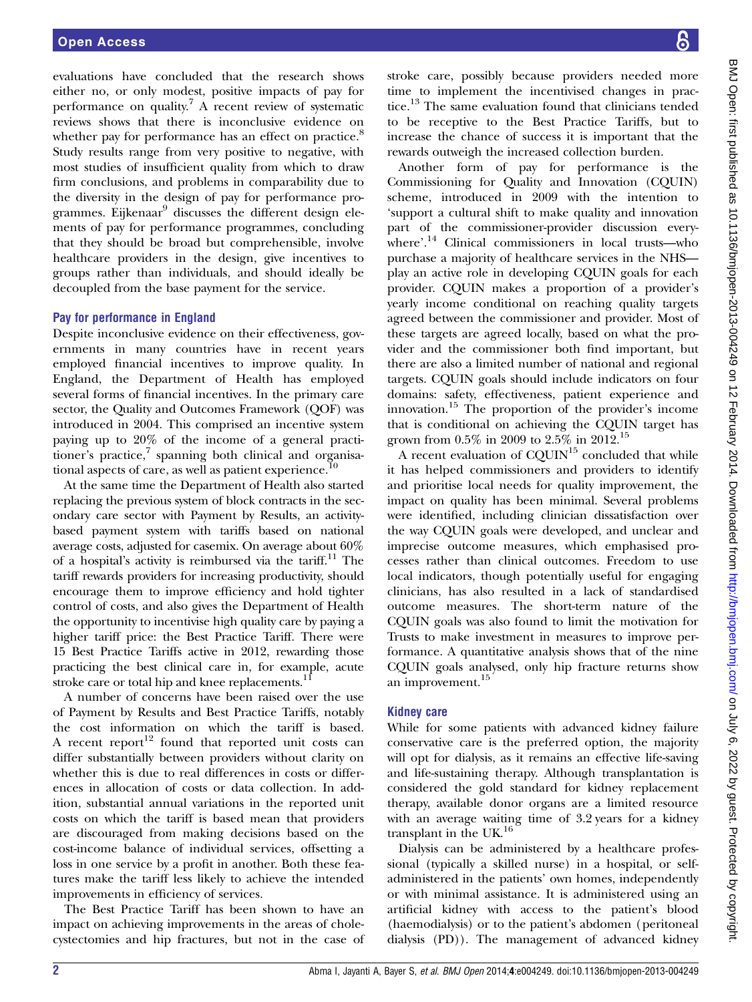evaluations have concluded that the research shows either no, or only modest, positive impacts of pay for performance on quality.7 A recent review of systematic reviews shows that there is inconclusive evidence on whether pay for performance has an effect on practice.<sup>8</sup> Study results range from very positive to negative, with most studies of insufficient quality from which to draw firm conclusions, and problems in comparability due to the diversity in the design of pay for performance programmes. Eijkenaar<sup>9</sup> discusses the different design elements of pay for performance programmes, concluding that they should be broad but comprehensible, involve healthcare providers in the design, give incentives to groups rather than individuals, and should ideally be decoupled from the base payment for the service.

### Pay for performance in England

Despite inconclusive evidence on their effectiveness, governments in many countries have in recent years employed financial incentives to improve quality. In England, the Department of Health has employed several forms of financial incentives. In the primary care sector, the Quality and Outcomes Framework (QOF) was introduced in 2004. This comprised an incentive system paying up to 20% of the income of a general practitioner's practice, $7$  spanning both clinical and organisational aspects of care, as well as patient experience.<sup>10</sup>

At the same time the Department of Health also started replacing the previous system of block contracts in the secondary care sector with Payment by Results, an activitybased payment system with tariffs based on national average costs, adjusted for casemix. On average about 60% of a hospital's activity is reimbursed via the tariff.<sup>11</sup> The tariff rewards providers for increasing productivity, should encourage them to improve efficiency and hold tighter control of costs, and also gives the Department of Health the opportunity to incentivise high quality care by paying a higher tariff price: the Best Practice Tariff. There were 15 Best Practice Tariffs active in 2012, rewarding those practicing the best clinical care in, for example, acute stroke care or total hip and knee replacements.<sup>1</sup>

A number of concerns have been raised over the use of Payment by Results and Best Practice Tariffs, notably the cost information on which the tariff is based. A recent report<sup>12</sup> found that reported unit costs can differ substantially between providers without clarity on whether this is due to real differences in costs or differences in allocation of costs or data collection. In addition, substantial annual variations in the reported unit costs on which the tariff is based mean that providers are discouraged from making decisions based on the cost-income balance of individual services, offsetting a loss in one service by a profit in another. Both these features make the tariff less likely to achieve the intended improvements in efficiency of services.

The Best Practice Tariff has been shown to have an impact on achieving improvements in the areas of cholecystectomies and hip fractures, but not in the case of stroke care, possibly because providers needed more time to implement the incentivised changes in practice.<sup>13</sup> The same evaluation found that clinicians tended to be receptive to the Best Practice Tariffs, but to increase the chance of success it is important that the rewards outweigh the increased collection burden.

Another form of pay for performance is the Commissioning for Quality and Innovation (CQUIN) scheme, introduced in 2009 with the intention to 'support a cultural shift to make quality and innovation part of the commissioner-provider discussion everywhere'. <sup>14</sup> Clinical commissioners in local trusts—who purchase a majority of healthcare services in the NHS play an active role in developing CQUIN goals for each provider. CQUIN makes a proportion of a provider's yearly income conditional on reaching quality targets agreed between the commissioner and provider. Most of these targets are agreed locally, based on what the provider and the commissioner both find important, but there are also a limited number of national and regional targets. CQUIN goals should include indicators on four domains: safety, effectiveness, patient experience and innovation.<sup>15</sup> The proportion of the provider's income that is conditional on achieving the CQUIN target has grown from 0.5% in 2009 to 2.5% in 2012.<sup>15</sup>

A recent evaluation of  $CQUIN^{15}$  concluded that while it has helped commissioners and providers to identify and prioritise local needs for quality improvement, the impact on quality has been minimal. Several problems were identified, including clinician dissatisfaction over the way CQUIN goals were developed, and unclear and imprecise outcome measures, which emphasised processes rather than clinical outcomes. Freedom to use local indicators, though potentially useful for engaging clinicians, has also resulted in a lack of standardised outcome measures. The short-term nature of the CQUIN goals was also found to limit the motivation for Trusts to make investment in measures to improve performance. A quantitative analysis shows that of the nine CQUIN goals analysed, only hip fracture returns show an improvement.<sup>15</sup>

#### Kidney care

While for some patients with advanced kidney failure conservative care is the preferred option, the majority will opt for dialysis, as it remains an effective life-saving and life-sustaining therapy. Although transplantation is considered the gold standard for kidney replacement therapy, available donor organs are a limited resource with an average waiting time of 3.2 years for a kidney transplant in the UK. $^{16}$ 

Dialysis can be administered by a healthcare professional (typically a skilled nurse) in a hospital, or selfadministered in the patients' own homes, independently or with minimal assistance. It is administered using an artificial kidney with access to the patient's blood (haemodialysis) or to the patient's abdomen (peritoneal dialysis (PD)). The management of advanced kidney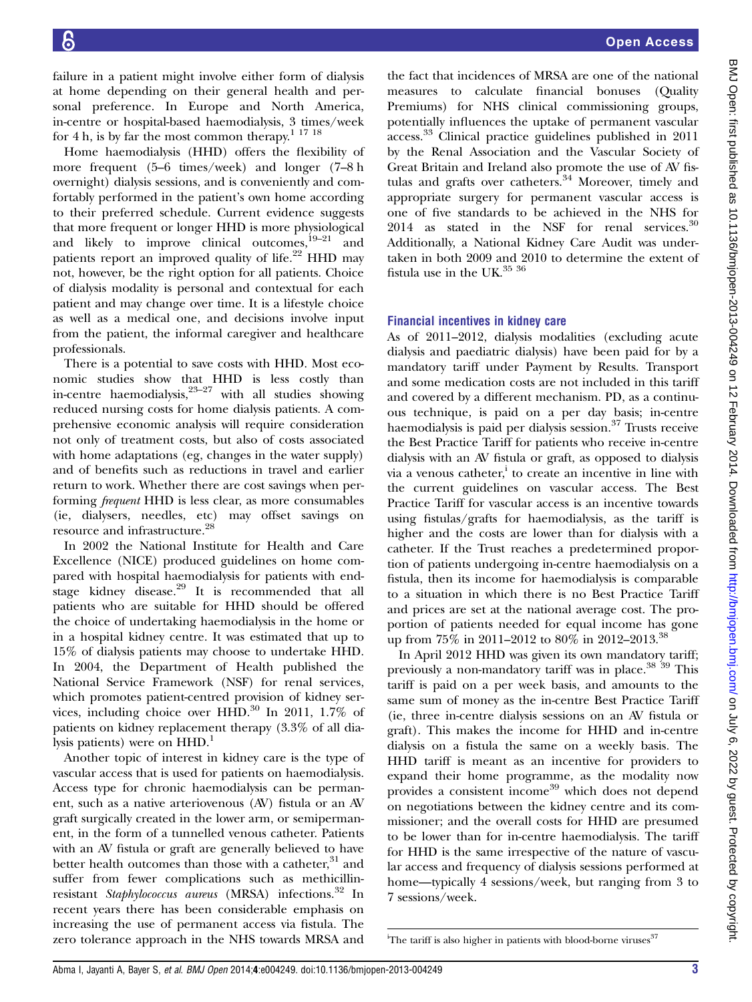failure in a patient might involve either form of dialysis at home depending on their general health and personal preference. In Europe and North America, in-centre or hospital-based haemodialysis, 3 times/week for 4 h, is by far the most common therapy. $11718$ 

Home haemodialysis (HHD) offers the flexibility of more frequent (5–6 times/week) and longer (7–8 h overnight) dialysis sessions, and is conveniently and comfortably performed in the patient's own home according to their preferred schedule. Current evidence suggests that more frequent or longer HHD is more physiological and likely to improve clinical outcomes,19–<sup>21</sup> and patients report an improved quality of life.<sup>22</sup> HHD may not, however, be the right option for all patients. Choice of dialysis modality is personal and contextual for each patient and may change over time. It is a lifestyle choice as well as a medical one, and decisions involve input from the patient, the informal caregiver and healthcare professionals.

There is a potential to save costs with HHD. Most economic studies show that HHD is less costly than in-centre haemodialysis, $23-27$  with all studies showing reduced nursing costs for home dialysis patients. A comprehensive economic analysis will require consideration not only of treatment costs, but also of costs associated with home adaptations (eg, changes in the water supply) and of benefits such as reductions in travel and earlier return to work. Whether there are cost savings when performing frequent HHD is less clear, as more consumables (ie, dialysers, needles, etc) may offset savings on resource and infrastructure.<sup>28</sup>

In 2002 the National Institute for Health and Care Excellence (NICE) produced guidelines on home compared with hospital haemodialysis for patients with endstage kidney disease. $^{29}$  It is recommended that all patients who are suitable for HHD should be offered the choice of undertaking haemodialysis in the home or in a hospital kidney centre. It was estimated that up to 15% of dialysis patients may choose to undertake HHD. In 2004, the Department of Health published the National Service Framework (NSF) for renal services, which promotes patient-centred provision of kidney services, including choice over  $HHD<sup>30</sup>$  In 2011, 1.7% of patients on kidney replacement therapy (3.3% of all dialysis patients) were on  $HHD<sup>1</sup>$ .

Another topic of interest in kidney care is the type of vascular access that is used for patients on haemodialysis. Access type for chronic haemodialysis can be permanent, such as a native arteriovenous (AV) fistula or an AV graft surgically created in the lower arm, or semipermanent, in the form of a tunnelled venous catheter. Patients with an AV fistula or graft are generally believed to have better health outcomes than those with a catheter, $31$  and suffer from fewer complications such as methicillinresistant Staphylococcus aureus (MRSA) infections.<sup>32</sup> In recent years there has been considerable emphasis on increasing the use of permanent access via fistula. The zero tolerance approach in the NHS towards MRSA and

the fact that incidences of MRSA are one of the national measures to calculate financial bonuses (Quality Premiums) for NHS clinical commissioning groups, potentially influences the uptake of permanent vascular access.<sup>33</sup> Clinical practice guidelines published in 2011 by the Renal Association and the Vascular Society of Great Britain and Ireland also promote the use of AV fistulas and grafts over catheters.<sup>34</sup> Moreover, timely and appropriate surgery for permanent vascular access is one of five standards to be achieved in the NHS for 2014 as stated in the NSF for renal services.<sup>30</sup> Additionally, a National Kidney Care Audit was undertaken in both 2009 and 2010 to determine the extent of fistula use in the UK.<sup>35 36</sup>

# Financial incentives in kidney care

As of 2011–2012, dialysis modalities (excluding acute dialysis and paediatric dialysis) have been paid for by a mandatory tariff under Payment by Results. Transport and some medication costs are not included in this tariff and covered by a different mechanism. PD, as a continuous technique, is paid on a per day basis; in-centre haemodialysis is paid per dialysis session.<sup>37</sup> Trusts receive the Best Practice Tariff for patients who receive in-centre dialysis with an AV fistula or graft, as opposed to dialysis via a venous catheter, $\lambda$  to create an incentive in line with the current guidelines on vascular access. The Best Practice Tariff for vascular access is an incentive towards using fistulas/grafts for haemodialysis, as the tariff is higher and the costs are lower than for dialysis with a catheter. If the Trust reaches a predetermined proportion of patients undergoing in-centre haemodialysis on a fistula, then its income for haemodialysis is comparable to a situation in which there is no Best Practice Tariff and prices are set at the national average cost. The proportion of patients needed for equal income has gone up from 75% in 2011–2012 to 80% in 2012–2013.<sup>38</sup>

In April 2012 HHD was given its own mandatory tariff; previously a non-mandatory tariff was in place.<sup>38 39</sup> This tariff is paid on a per week basis, and amounts to the same sum of money as the in-centre Best Practice Tariff (ie, three in-centre dialysis sessions on an AV fistula or graft). This makes the income for HHD and in-centre dialysis on a fistula the same on a weekly basis. The HHD tariff is meant as an incentive for providers to expand their home programme, as the modality now provides a consistent income<sup>39</sup> which does not depend on negotiations between the kidney centre and its commissioner; and the overall costs for HHD are presumed to be lower than for in-centre haemodialysis. The tariff for HHD is the same irrespective of the nature of vascular access and frequency of dialysis sessions performed at home—typically 4 sessions/week, but ranging from 3 to 7 sessions/week.

BMJ Open: first published as 10.1136/bmjopen-2013-004249 on 12 February 2014. Downloaded from http://bmjopen.bmj.com/ on July 6, 2022 by guest. Protected by copyright. BMJ Open: first published as 10.1136/bmjopen-2013-004249 on 12 February 2014. Downloaded from <http://bmjopen.bmj.com/> on July 6, 2022 by guest. Protected by copyright.

<sup>&</sup>lt;sup>i</sup>The tariff is also higher in patients with blood-borne viruses<sup>37</sup>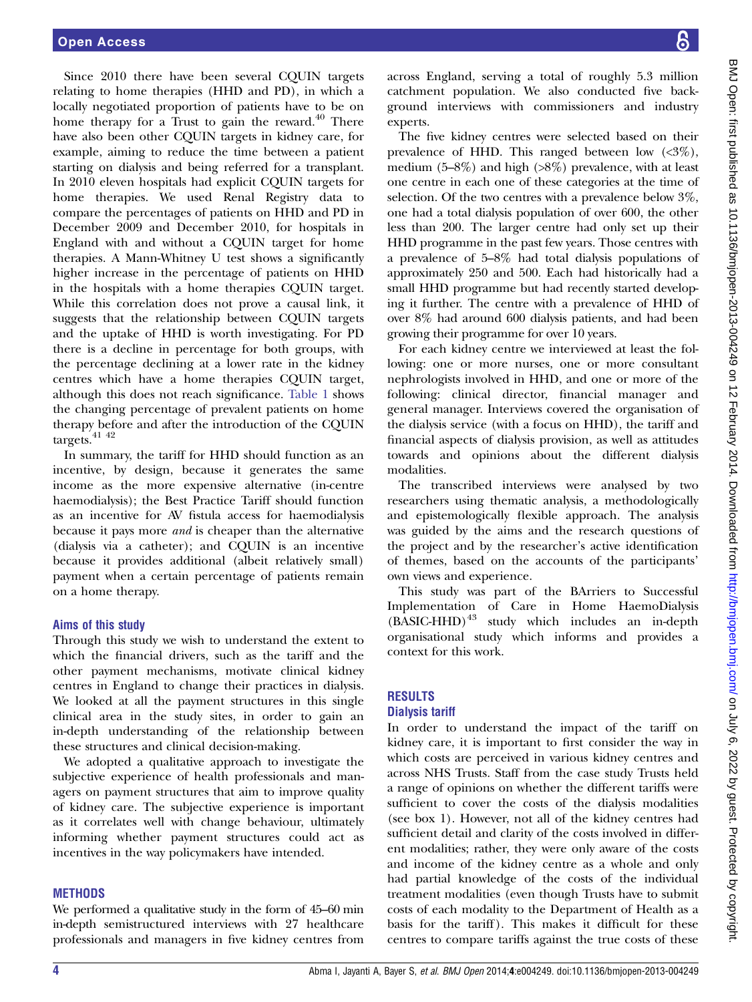Since 2010 there have been several CQUIN targets relating to home therapies (HHD and PD), in which a locally negotiated proportion of patients have to be on home therapy for a Trust to gain the reward.<sup>40</sup> There have also been other CQUIN targets in kidney care, for example, aiming to reduce the time between a patient starting on dialysis and being referred for a transplant. In 2010 eleven hospitals had explicit CQUIN targets for home therapies. We used Renal Registry data to compare the percentages of patients on HHD and PD in December 2009 and December 2010, for hospitals in England with and without a CQUIN target for home therapies. A Mann-Whitney U test shows a significantly higher increase in the percentage of patients on HHD in the hospitals with a home therapies CQUIN target. While this correlation does not prove a causal link, it suggests that the relationship between CQUIN targets and the uptake of HHD is worth investigating. For PD there is a decline in percentage for both groups, with the percentage declining at a lower rate in the kidney centres which have a home therapies CQUIN target, although this does not reach significance. Table 1 shows the changing percentage of prevalent patients on home therapy before and after the introduction of the CQUIN targets.<sup>41</sup> <sup>42</sup>

In summary, the tariff for HHD should function as an incentive, by design, because it generates the same income as the more expensive alternative (in-centre haemodialysis); the Best Practice Tariff should function as an incentive for AV fistula access for haemodialysis because it pays more and is cheaper than the alternative (dialysis via a catheter); and CQUIN is an incentive because it provides additional (albeit relatively small) payment when a certain percentage of patients remain on a home therapy.

#### Aims of this study

Through this study we wish to understand the extent to which the financial drivers, such as the tariff and the other payment mechanisms, motivate clinical kidney centres in England to change their practices in dialysis. We looked at all the payment structures in this single clinical area in the study sites, in order to gain an in-depth understanding of the relationship between these structures and clinical decision-making.

We adopted a qualitative approach to investigate the subjective experience of health professionals and managers on payment structures that aim to improve quality of kidney care. The subjective experience is important as it correlates well with change behaviour, ultimately informing whether payment structures could act as incentives in the way policymakers have intended.

### **METHODS**

We performed a qualitative study in the form of 45–60 min in-depth semistructured interviews with 27 healthcare professionals and managers in five kidney centres from

across England, serving a total of roughly 5.3 million catchment population. We also conducted five background interviews with commissioners and industry experts.

The five kidney centres were selected based on their prevalence of HHD. This ranged between low  $\langle \langle 3\% \rangle$ , medium (5–8%) and high (>8%) prevalence, with at least one centre in each one of these categories at the time of selection. Of the two centres with a prevalence below 3%, one had a total dialysis population of over 600, the other less than 200. The larger centre had only set up their HHD programme in the past few years. Those centres with a prevalence of 5–8% had total dialysis populations of approximately 250 and 500. Each had historically had a small HHD programme but had recently started developing it further. The centre with a prevalence of HHD of over 8% had around 600 dialysis patients, and had been growing their programme for over 10 years.

For each kidney centre we interviewed at least the following: one or more nurses, one or more consultant nephrologists involved in HHD, and one or more of the following: clinical director, financial manager and general manager. Interviews covered the organisation of the dialysis service (with a focus on HHD), the tariff and financial aspects of dialysis provision, as well as attitudes towards and opinions about the different dialysis modalities.

The transcribed interviews were analysed by two researchers using thematic analysis, a methodologically and epistemologically flexible approach. The analysis was guided by the aims and the research questions of the project and by the researcher's active identification of themes, based on the accounts of the participants' own views and experience.

This study was part of the BArriers to Successful Implementation of Care in Home HaemoDialysis  $(BASIC-HHD)<sup>43</sup>$  study which includes an in-depth organisational study which informs and provides a context for this work.

# RESULTS Dialysis tariff

In order to understand the impact of the tariff on kidney care, it is important to first consider the way in which costs are perceived in various kidney centres and across NHS Trusts. Staff from the case study Trusts held a range of opinions on whether the different tariffs were sufficient to cover the costs of the dialysis modalities (see box 1). However, not all of the kidney centres had sufficient detail and clarity of the costs involved in different modalities; rather, they were only aware of the costs and income of the kidney centre as a whole and only had partial knowledge of the costs of the individual treatment modalities (even though Trusts have to submit costs of each modality to the Department of Health as a basis for the tariff). This makes it difficult for these centres to compare tariffs against the true costs of these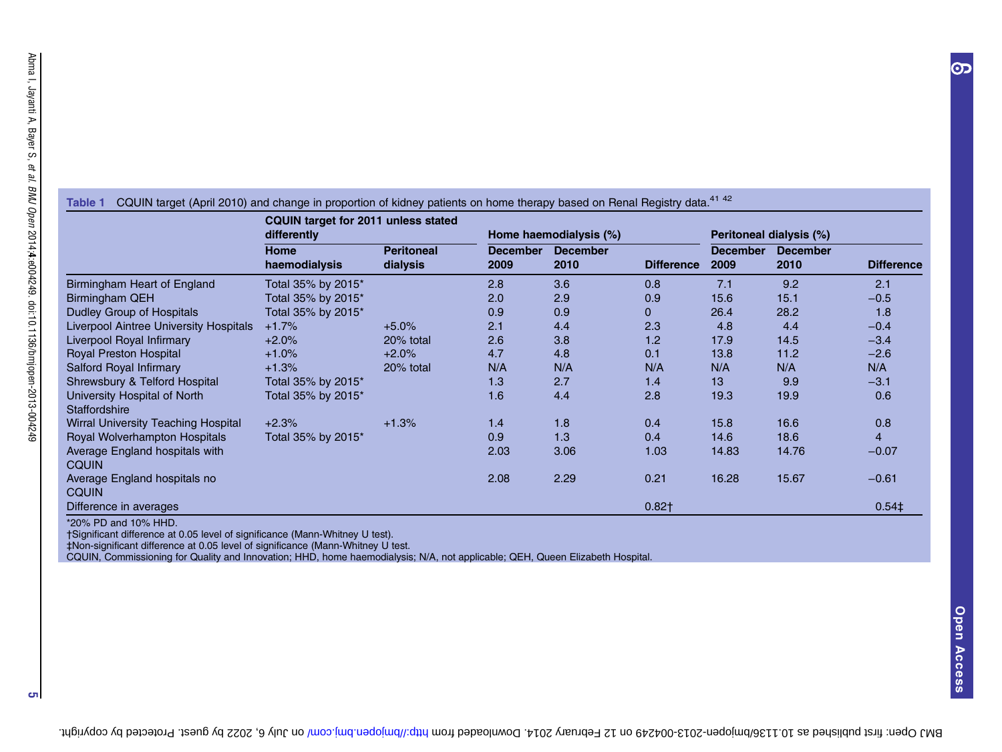|  |                                                      | CQUIN target for 2011 unless stated<br>differently |                               | Home haemodialysis (%)  |                         |                   | Peritoneal dialysis (%) |                         |                   |
|--|------------------------------------------------------|----------------------------------------------------|-------------------------------|-------------------------|-------------------------|-------------------|-------------------------|-------------------------|-------------------|
|  |                                                      | <b>Home</b><br>haemodialysis                       | <b>Peritoneal</b><br>dialysis | <b>December</b><br>2009 | <b>December</b><br>2010 | <b>Difference</b> | <b>December</b><br>2009 | <b>December</b><br>2010 | <b>Differe</b>    |
|  | Birmingham Heart of England                          | Total 35% by 2015*                                 |                               | 2.8                     | 3.6                     | 0.8               | 7.1                     | 9.2                     | 2.1               |
|  | Birmingham QEH                                       | Total 35% by 2015*                                 |                               | 2.0                     | 2.9                     | 0.9               | 15.6                    | 15.1                    | $-0.5$            |
|  | Dudley Group of Hospitals                            | Total 35% by 2015*                                 |                               | 0.9                     | 0.9                     | 0                 | 26.4                    | 28.2                    | 1.8               |
|  | <b>Liverpool Aintree University Hospitals</b>        | $+1.7%$                                            | $+5.0%$                       | 2.1                     | 4.4                     | 2.3               | 4.8                     | 4.4                     | $-0.4$            |
|  | Liverpool Royal Infirmary                            | $+2.0%$                                            | 20% total                     | 2.6                     | 3.8                     | 1.2               | 17.9                    | 14.5                    | $-3.4$            |
|  | Royal Preston Hospital                               | $+1.0%$                                            | $+2.0%$                       | 4.7                     | 4.8                     | 0.1               | 13.8                    | 11.2                    | $-2.6$            |
|  | Salford Royal Infirmary                              | $+1.3%$                                            | 20% total                     | N/A                     | N/A                     | N/A               | N/A                     | N/A                     | N/A               |
|  | Shrewsbury & Telford Hospital                        | Total 35% by 2015*                                 |                               | 1.3                     | 2.7                     | 1.4               | 13                      | 9.9                     | $-3.1$            |
|  | University Hospital of North<br><b>Staffordshire</b> | Total 35% by 2015*                                 |                               | 1.6                     | 4.4                     | 2.8               | 19.3                    | 19.9                    | 0.6               |
|  | Wirral University Teaching Hospital                  | $+2.3%$                                            | $+1.3%$                       | 1.4                     | 1.8                     | 0.4               | 15.8                    | 16.6                    | 0.8               |
|  | Royal Wolverhampton Hospitals                        | Total 35% by 2015*                                 |                               | 0.9                     | 1.3                     | 0.4               | 14.6                    | 18.6                    | $\overline{4}$    |
|  | Average England hospitals with<br><b>CQUIN</b>       |                                                    |                               | 2.03                    | 3.06                    | 1.03              | 14.83                   | 14.76                   | $-0.07$           |
|  | Average England hospitals no<br><b>CQUIN</b>         |                                                    |                               | 2.08                    | 2.29                    | 0.21              | 16.28                   | 15.67                   | $-0.61$           |
|  | Difference in averages                               |                                                    |                               |                         |                         | $0.82+$           |                         |                         | 0.54 <sub>1</sub> |

\*20% PD and 10% HHD.

†Significant difference at 0.05 level of significance (Mann-Whitney U test).

‡Non-significant difference at 0.05 level of significance (Mann-Whitney U test.

CQUIN, Commissioning for Quality and Innovation; HHD, home haemodialysis; N/A, not applicable; QEH, Queen Elizabeth Hospital.

ප

2010 Difference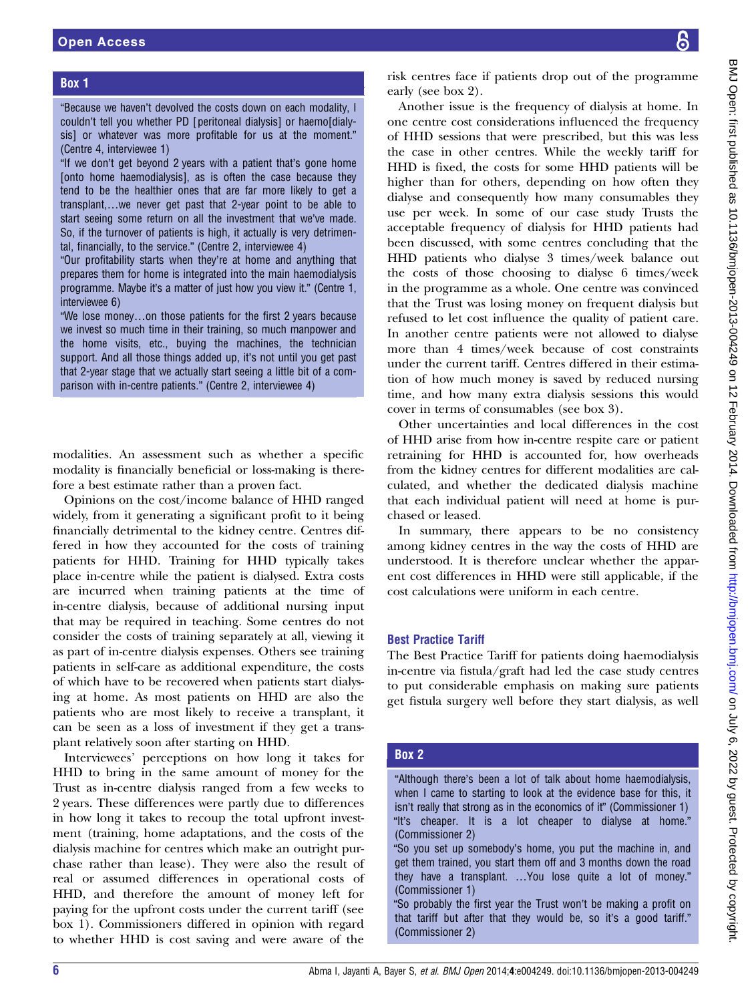# Box 1

"Because we haven't devolved the costs down on each modality, I couldn't tell you whether PD [ peritoneal dialysis] or haemo[dialysis] or whatever was more profitable for us at the moment." (Centre 4, interviewee 1)

"If we don't get beyond 2 years with a patient that's gone home [onto home haemodialysis], as is often the case because they tend to be the healthier ones that are far more likely to get a transplant,…we never get past that 2-year point to be able to start seeing some return on all the investment that we've made. So, if the turnover of patients is high, it actually is very detrimental, financially, to the service." (Centre 2, interviewee 4)

"Our profitability starts when they're at home and anything that prepares them for home is integrated into the main haemodialysis programme. Maybe it's a matter of just how you view it." (Centre 1, interviewee 6)

"We lose money…on those patients for the first 2 years because we invest so much time in their training, so much manpower and the home visits, etc., buying the machines, the technician support. And all those things added up, it's not until you get past that 2-year stage that we actually start seeing a little bit of a comparison with in-centre patients." (Centre 2, interviewee 4)

modalities. An assessment such as whether a specific modality is financially beneficial or loss-making is therefore a best estimate rather than a proven fact.

Opinions on the cost/income balance of HHD ranged widely, from it generating a significant profit to it being financially detrimental to the kidney centre. Centres differed in how they accounted for the costs of training patients for HHD. Training for HHD typically takes place in-centre while the patient is dialysed. Extra costs are incurred when training patients at the time of in-centre dialysis, because of additional nursing input that may be required in teaching. Some centres do not consider the costs of training separately at all, viewing it as part of in-centre dialysis expenses. Others see training patients in self-care as additional expenditure, the costs of which have to be recovered when patients start dialysing at home. As most patients on HHD are also the patients who are most likely to receive a transplant, it can be seen as a loss of investment if they get a transplant relatively soon after starting on HHD.

Interviewees' perceptions on how long it takes for HHD to bring in the same amount of money for the Trust as in-centre dialysis ranged from a few weeks to 2 years. These differences were partly due to differences in how long it takes to recoup the total upfront investment (training, home adaptations, and the costs of the dialysis machine for centres which make an outright purchase rather than lease). They were also the result of real or assumed differences in operational costs of HHD, and therefore the amount of money left for paying for the upfront costs under the current tariff (see box 1). Commissioners differed in opinion with regard to whether HHD is cost saving and were aware of the

risk centres face if patients drop out of the programme early (see box 2).

Another issue is the frequency of dialysis at home. In one centre cost considerations influenced the frequency of HHD sessions that were prescribed, but this was less the case in other centres. While the weekly tariff for HHD is fixed, the costs for some HHD patients will be higher than for others, depending on how often they dialyse and consequently how many consumables they use per week. In some of our case study Trusts the acceptable frequency of dialysis for HHD patients had been discussed, with some centres concluding that the HHD patients who dialyse 3 times/week balance out the costs of those choosing to dialyse 6 times/week in the programme as a whole. One centre was convinced that the Trust was losing money on frequent dialysis but refused to let cost influence the quality of patient care. In another centre patients were not allowed to dialyse more than 4 times/week because of cost constraints under the current tariff. Centres differed in their estimation of how much money is saved by reduced nursing time, and how many extra dialysis sessions this would cover in terms of consumables (see box 3).

Other uncertainties and local differences in the cost of HHD arise from how in-centre respite care or patient retraining for HHD is accounted for, how overheads from the kidney centres for different modalities are calculated, and whether the dedicated dialysis machine that each individual patient will need at home is purchased or leased.

In summary, there appears to be no consistency among kidney centres in the way the costs of HHD are understood. It is therefore unclear whether the apparent cost differences in HHD were still applicable, if the cost calculations were uniform in each centre.

#### Best Practice Tariff

The Best Practice Tariff for patients doing haemodialysis in-centre via fistula/graft had led the case study centres to put considerable emphasis on making sure patients get fistula surgery well before they start dialysis, as well

# Box 2

"Although there's been a lot of talk about home haemodialysis, when I came to starting to look at the evidence base for this, it isn't really that strong as in the economics of it" (Commissioner 1) "It's cheaper. It is a lot cheaper to dialyse at home." (Commissioner 2)

"So you set up somebody's home, you put the machine in, and get them trained, you start them off and 3 months down the road they have a transplant. …You lose quite a lot of money." (Commissioner 1)

"So probably the first year the Trust won't be making a profit on that tariff but after that they would be, so it's a good tariff." (Commissioner 2)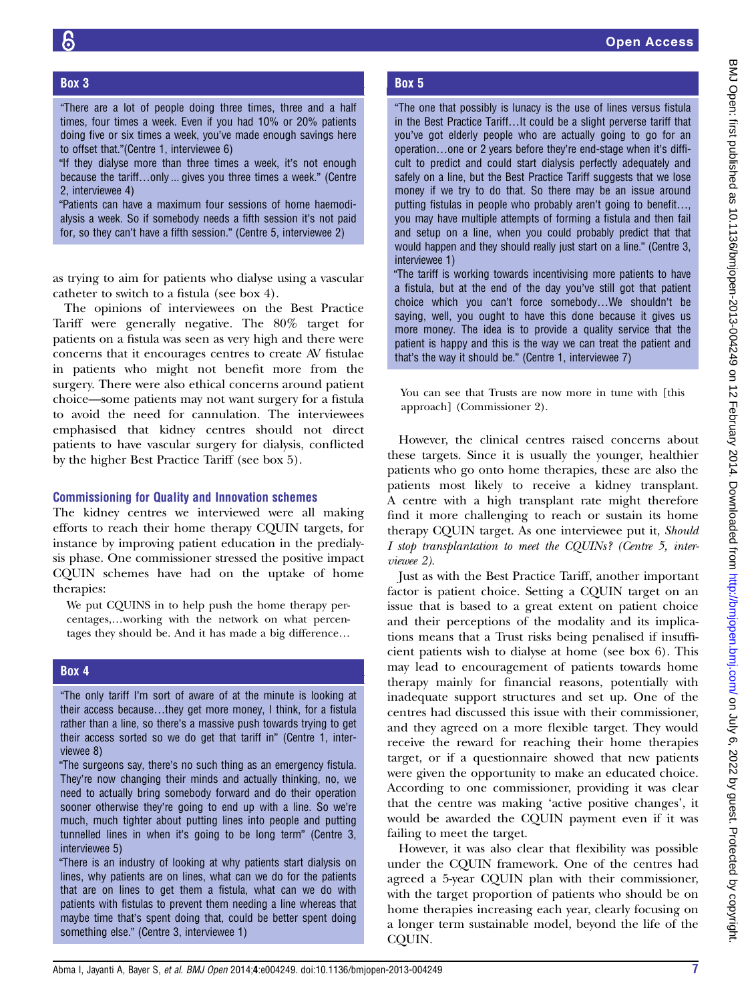# Box 3

"There are a lot of people doing three times, three and a half times, four times a week. Even if you had 10% or 20% patients doing five or six times a week, you've made enough savings here to offset that."(Centre 1, interviewee 6)

"If they dialyse more than three times a week, it's not enough because the tariff…only ... gives you three times a week." (Centre 2, interviewee 4)

"Patients can have a maximum four sessions of home haemodialysis a week. So if somebody needs a fifth session it's not paid for, so they can't have a fifth session." (Centre 5, interviewee 2)

as trying to aim for patients who dialyse using a vascular catheter to switch to a fistula (see box 4).

The opinions of interviewees on the Best Practice Tariff were generally negative. The 80% target for patients on a fistula was seen as very high and there were concerns that it encourages centres to create AV fistulae in patients who might not benefit more from the surgery. There were also ethical concerns around patient choice—some patients may not want surgery for a fistula to avoid the need for cannulation. The interviewees emphasised that kidney centres should not direct patients to have vascular surgery for dialysis, conflicted by the higher Best Practice Tariff (see box 5).

#### Commissioning for Quality and Innovation schemes

The kidney centres we interviewed were all making efforts to reach their home therapy CQUIN targets, for instance by improving patient education in the predialysis phase. One commissioner stressed the positive impact CQUIN schemes have had on the uptake of home therapies:

We put CQUINS in to help push the home therapy percentages,…working with the network on what percentages they should be. And it has made a big difference…

# Box 4

"The only tariff I'm sort of aware of at the minute is looking at their access because…they get more money, I think, for a fistula rather than a line, so there's a massive push towards trying to get their access sorted so we do get that tariff in" (Centre 1, interviewee 8)

"The surgeons say, there's no such thing as an emergency fistula. They're now changing their minds and actually thinking, no, we need to actually bring somebody forward and do their operation sooner otherwise they're going to end up with a line. So we're much, much tighter about putting lines into people and putting tunnelled lines in when it's going to be long term" (Centre 3, interviewee 5)

"There is an industry of looking at why patients start dialysis on lines, why patients are on lines, what can we do for the patients that are on lines to get them a fistula, what can we do with patients with fistulas to prevent them needing a line whereas that maybe time that's spent doing that, could be better spent doing something else." (Centre 3, interviewee 1)

# Box 5

"The one that possibly is lunacy is the use of lines versus fistula in the Best Practice Tariff…It could be a slight perverse tariff that you've got elderly people who are actually going to go for an operation…one or 2 years before they're end-stage when it's difficult to predict and could start dialysis perfectly adequately and safely on a line, but the Best Practice Tariff suggests that we lose money if we try to do that. So there may be an issue around putting fistulas in people who probably aren't going to benefit…, you may have multiple attempts of forming a fistula and then fail and setup on a line, when you could probably predict that that would happen and they should really just start on a line." (Centre 3, interviewee 1)

"The tariff is working towards incentivising more patients to have a fistula, but at the end of the day you've still got that patient choice which you can't force somebody…We shouldn't be saying, well, you ought to have this done because it gives us more money. The idea is to provide a quality service that the patient is happy and this is the way we can treat the patient and that's the way it should be." (Centre 1, interviewee 7)

You can see that Trusts are now more in tune with [this approach] (Commissioner 2).

However, the clinical centres raised concerns about these targets. Since it is usually the younger, healthier patients who go onto home therapies, these are also the patients most likely to receive a kidney transplant. A centre with a high transplant rate might therefore find it more challenging to reach or sustain its home therapy CQUIN target. As one interviewee put it, Should I stop transplantation to meet the CQUINs? (Centre 5, interviewee 2).

Just as with the Best Practice Tariff, another important factor is patient choice. Setting a COUIN target on an issue that is based to a great extent on patient choice and their perceptions of the modality and its implications means that a Trust risks being penalised if insufficient patients wish to dialyse at home (see box 6). This may lead to encouragement of patients towards home therapy mainly for financial reasons, potentially with inadequate support structures and set up. One of the centres had discussed this issue with their commissioner, and they agreed on a more flexible target. They would receive the reward for reaching their home therapies target, or if a questionnaire showed that new patients were given the opportunity to make an educated choice. According to one commissioner, providing it was clear that the centre was making 'active positive changes', it would be awarded the CQUIN payment even if it was failing to meet the target.

However, it was also clear that flexibility was possible under the CQUIN framework. One of the centres had agreed a 5-year CQUIN plan with their commissioner, with the target proportion of patients who should be on home therapies increasing each year, clearly focusing on a longer term sustainable model, beyond the life of the CQUIN.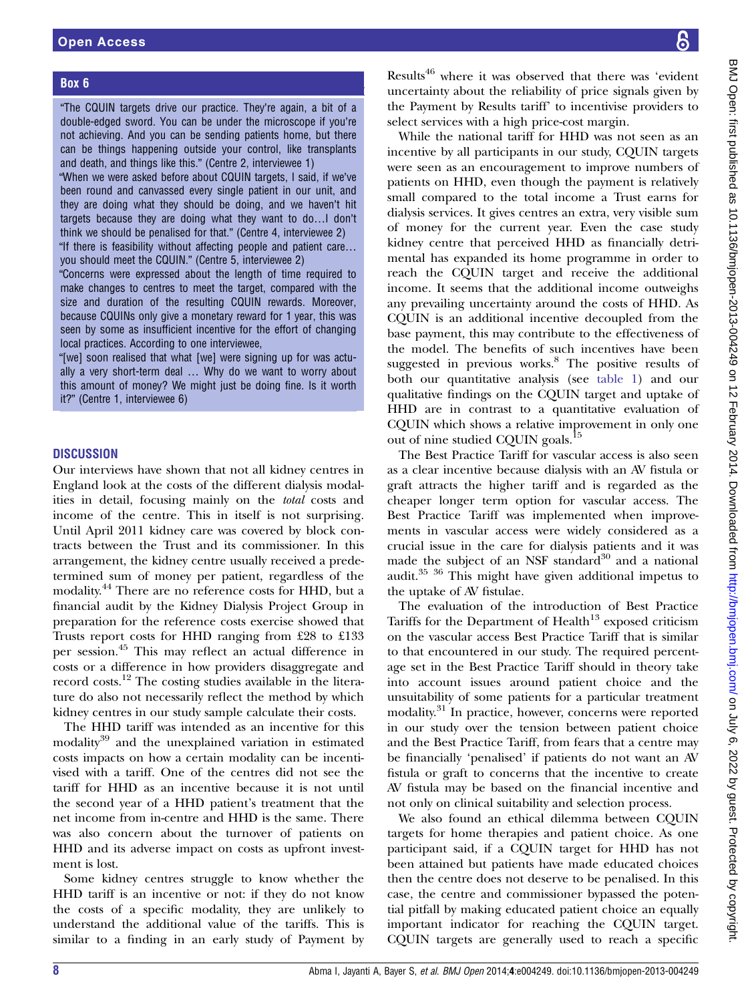# Box 6

"The CQUIN targets drive our practice. They're again, a bit of a double-edged sword. You can be under the microscope if you're not achieving. And you can be sending patients home, but there can be things happening outside your control, like transplants and death, and things like this." (Centre 2, interviewee 1)

"When we were asked before about CQUIN targets, I said, if we've been round and canvassed every single patient in our unit, and they are doing what they should be doing, and we haven't hit targets because they are doing what they want to do…I don't think we should be penalised for that." (Centre 4, interviewee 2) "If there is feasibility without affecting people and patient care…

you should meet the CQUIN." (Centre 5, interviewee 2)

"Concerns were expressed about the length of time required to make changes to centres to meet the target, compared with the size and duration of the resulting CQUIN rewards. Moreover, because CQUINs only give a monetary reward for 1 year, this was seen by some as insufficient incentive for the effort of changing local practices. According to one interviewee,

"[we] soon realised that what [we] were signing up for was actually a very short-term deal … Why do we want to worry about this amount of money? We might just be doing fine. Is it worth it?" (Centre 1, interviewee 6)

### **DISCUSSION**

Our interviews have shown that not all kidney centres in England look at the costs of the different dialysis modalities in detail, focusing mainly on the total costs and income of the centre. This in itself is not surprising. Until April 2011 kidney care was covered by block contracts between the Trust and its commissioner. In this arrangement, the kidney centre usually received a predetermined sum of money per patient, regardless of the modality.44 There are no reference costs for HHD, but a financial audit by the Kidney Dialysis Project Group in preparation for the reference costs exercise showed that Trusts report costs for HHD ranging from £28 to £133 per session.<sup>45</sup> This may reflect an actual difference in costs or a difference in how providers disaggregate and record costs.<sup>12</sup> The costing studies available in the literature do also not necessarily reflect the method by which kidney centres in our study sample calculate their costs.

The HHD tariff was intended as an incentive for this modality<sup>39</sup> and the unexplained variation in estimated costs impacts on how a certain modality can be incentivised with a tariff. One of the centres did not see the tariff for HHD as an incentive because it is not until the second year of a HHD patient's treatment that the net income from in-centre and HHD is the same. There was also concern about the turnover of patients on HHD and its adverse impact on costs as upfront investment is lost.

Some kidney centres struggle to know whether the HHD tariff is an incentive or not: if they do not know the costs of a specific modality, they are unlikely to understand the additional value of the tariffs. This is similar to a finding in an early study of Payment by Results<sup>46</sup> where it was observed that there was 'evident uncertainty about the reliability of price signals given by the Payment by Results tariff' to incentivise providers to select services with a high price-cost margin.

While the national tariff for HHD was not seen as an incentive by all participants in our study, CQUIN targets were seen as an encouragement to improve numbers of patients on HHD, even though the payment is relatively small compared to the total income a Trust earns for dialysis services. It gives centres an extra, very visible sum of money for the current year. Even the case study kidney centre that perceived HHD as financially detrimental has expanded its home programme in order to reach the CQUIN target and receive the additional income. It seems that the additional income outweighs any prevailing uncertainty around the costs of HHD. As CQUIN is an additional incentive decoupled from the base payment, this may contribute to the effectiveness of the model. The benefits of such incentives have been suggested in previous works.<sup>8</sup> The positive results of both our quantitative analysis (see table 1) and our qualitative findings on the CQUIN target and uptake of HHD are in contrast to a quantitative evaluation of CQUIN which shows a relative improvement in only one out of nine studied CQUIN goals.<sup>15</sup>

The Best Practice Tariff for vascular access is also seen as a clear incentive because dialysis with an AV fistula or graft attracts the higher tariff and is regarded as the cheaper longer term option for vascular access. The Best Practice Tariff was implemented when improvements in vascular access were widely considered as a crucial issue in the care for dialysis patients and it was made the subject of an NSF standard<sup>30</sup> and a national audit.35 36 This might have given additional impetus to the uptake of AV fistulae.

The evaluation of the introduction of Best Practice Tariffs for the Department of  $\text{Health}^{13}$  exposed criticism on the vascular access Best Practice Tariff that is similar to that encountered in our study. The required percentage set in the Best Practice Tariff should in theory take into account issues around patient choice and the unsuitability of some patients for a particular treatment modality.31 In practice, however, concerns were reported in our study over the tension between patient choice and the Best Practice Tariff, from fears that a centre may be financially 'penalised' if patients do not want an AV fistula or graft to concerns that the incentive to create AV fistula may be based on the financial incentive and not only on clinical suitability and selection process.

We also found an ethical dilemma between CQUIN targets for home therapies and patient choice. As one participant said, if a CQUIN target for HHD has not been attained but patients have made educated choices then the centre does not deserve to be penalised. In this case, the centre and commissioner bypassed the potential pitfall by making educated patient choice an equally important indicator for reaching the CQUIN target. CQUIN targets are generally used to reach a specific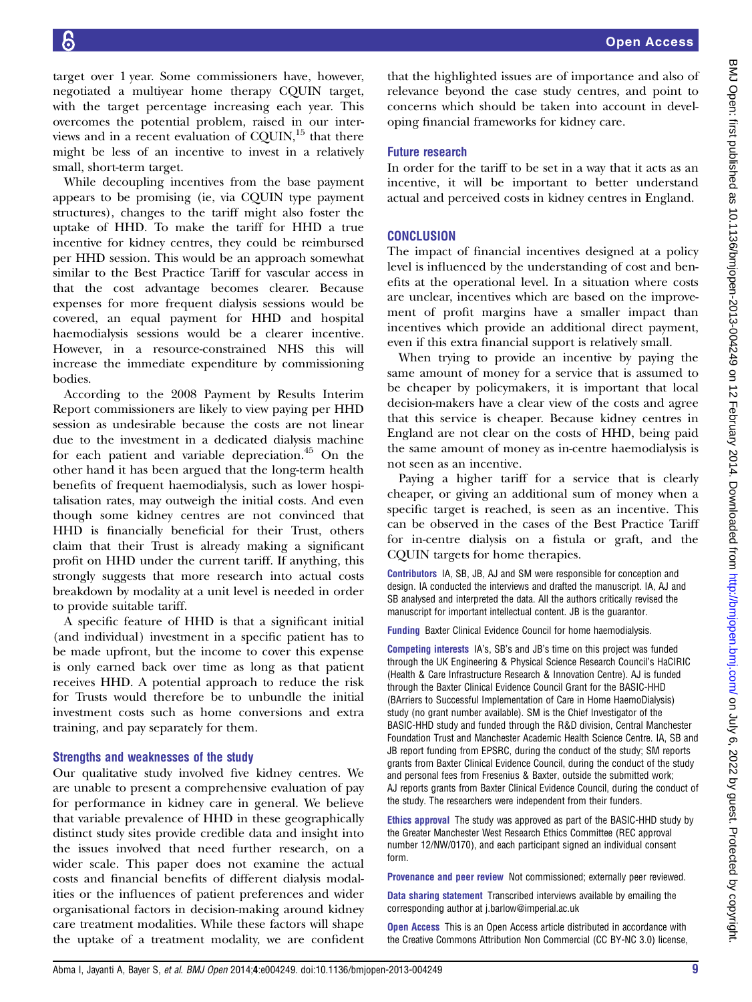target over 1 year. Some commissioners have, however, negotiated a multiyear home therapy CQUIN target, with the target percentage increasing each year. This overcomes the potential problem, raised in our interviews and in a recent evaluation of  $CQUIN$ ,<sup>15</sup> that there might be less of an incentive to invest in a relatively small, short-term target.

While decoupling incentives from the base payment appears to be promising (ie, via CQUIN type payment structures), changes to the tariff might also foster the uptake of HHD. To make the tariff for HHD a true incentive for kidney centres, they could be reimbursed per HHD session. This would be an approach somewhat similar to the Best Practice Tariff for vascular access in that the cost advantage becomes clearer. Because expenses for more frequent dialysis sessions would be covered, an equal payment for HHD and hospital haemodialysis sessions would be a clearer incentive. However, in a resource-constrained NHS this will increase the immediate expenditure by commissioning bodies.

According to the 2008 Payment by Results Interim Report commissioners are likely to view paying per HHD session as undesirable because the costs are not linear due to the investment in a dedicated dialysis machine for each patient and variable depreciation. $45$  On the other hand it has been argued that the long-term health benefits of frequent haemodialysis, such as lower hospitalisation rates, may outweigh the initial costs. And even though some kidney centres are not convinced that HHD is financially beneficial for their Trust, others claim that their Trust is already making a significant profit on HHD under the current tariff. If anything, this strongly suggests that more research into actual costs breakdown by modality at a unit level is needed in order to provide suitable tariff.

A specific feature of HHD is that a significant initial (and individual) investment in a specific patient has to be made upfront, but the income to cover this expense is only earned back over time as long as that patient receives HHD. A potential approach to reduce the risk for Trusts would therefore be to unbundle the initial investment costs such as home conversions and extra training, and pay separately for them.

#### Strengths and weaknesses of the study

Our qualitative study involved five kidney centres. We are unable to present a comprehensive evaluation of pay for performance in kidney care in general. We believe that variable prevalence of HHD in these geographically distinct study sites provide credible data and insight into the issues involved that need further research, on a wider scale. This paper does not examine the actual costs and financial benefits of different dialysis modalities or the influences of patient preferences and wider organisational factors in decision-making around kidney care treatment modalities. While these factors will shape the uptake of a treatment modality, we are confident that the highlighted issues are of importance and also of relevance beyond the case study centres, and point to concerns which should be taken into account in developing financial frameworks for kidney care.

#### Future research

In order for the tariff to be set in a way that it acts as an incentive, it will be important to better understand actual and perceived costs in kidney centres in England.

### **CONCLUSION**

The impact of financial incentives designed at a policy level is influenced by the understanding of cost and benefits at the operational level. In a situation where costs are unclear, incentives which are based on the improvement of profit margins have a smaller impact than incentives which provide an additional direct payment, even if this extra financial support is relatively small.

When trying to provide an incentive by paying the same amount of money for a service that is assumed to be cheaper by policymakers, it is important that local decision-makers have a clear view of the costs and agree that this service is cheaper. Because kidney centres in England are not clear on the costs of HHD, being paid the same amount of money as in-centre haemodialysis is not seen as an incentive.

Paying a higher tariff for a service that is clearly cheaper, or giving an additional sum of money when a specific target is reached, is seen as an incentive. This can be observed in the cases of the Best Practice Tariff for in-centre dialysis on a fistula or graft, and the CQUIN targets for home therapies.

Contributors IA, SB, JB, AJ and SM were responsible for conception and design. IA conducted the interviews and drafted the manuscript. IA, AJ and SB analysed and interpreted the data. All the authors critically revised the manuscript for important intellectual content. JB is the guarantor.

Funding Baxter Clinical Evidence Council for home haemodialysis.

Competing interests IA's, SB's and JB's time on this project was funded through the UK Engineering & Physical Science Research Council's HaCIRIC (Health & Care Infrastructure Research & Innovation Centre). AJ is funded through the Baxter Clinical Evidence Council Grant for the BASIC-HHD (BArriers to Successful Implementation of Care in Home HaemoDialysis) study (no grant number available). SM is the Chief Investigator of the BASIC-HHD study and funded through the R&D division, Central Manchester Foundation Trust and Manchester Academic Health Science Centre. IA, SB and JB report funding from EPSRC, during the conduct of the study; SM reports grants from Baxter Clinical Evidence Council, during the conduct of the study and personal fees from Fresenius & Baxter, outside the submitted work; AJ reports grants from Baxter Clinical Evidence Council, during the conduct of the study. The researchers were independent from their funders.

Ethics approval The study was approved as part of the BASIC-HHD study by the Greater Manchester West Research Ethics Committee (REC approval number 12/NW/0170), and each participant signed an individual consent form.

Provenance and peer review Not commissioned; externally peer reviewed.

Data sharing statement Transcribed interviews available by emailing the corresponding author at j.barlow@imperial.ac.uk

**Open Access** This is an Open Access article distributed in accordance with the Creative Commons Attribution Non Commercial (CC BY-NC 3.0) license,